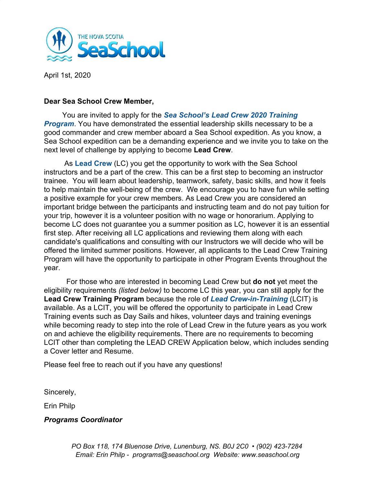

April 1st, 2020

#### **Dear Sea School Crew Member,**

 You are invited to apply for the *Sea School's Lead Crew 2020 Training* **Program**. You have demonstrated the essential leadership skills necessary to be a good commander and crew member aboard a Sea School expedition. As you know, a Sea School expedition can be a demanding experience and we invite you to take on the next level of challenge by applying to become **Lead Crew**.

 As **Lead Crew** (LC) you get the opportunity to work with the Sea School instructors and be a part of the crew. This can be a first step to becoming an instructor trainee. You will learn about leadership, teamwork, safety, basic skills, and how it feels to help maintain the well-being of the crew. We encourage you to have fun while setting a positive example for your crew members. As Lead Crew you are considered an important bridge between the participants and instructing team and do not pay tuition for your trip, however it is a volunteer position with no wage or honorarium. Applying to become LC does not guarantee you a summer position as LC, however it is an essential first step. After receiving all LC applications and reviewing them along with each candidate's qualifications and consulting with our Instructors we will decide who will be offered the limited summer positions. However, all applicants to the Lead Crew Training Program will have the opportunity to participate in other Program Events throughout the year.

 For those who are interested in becoming Lead Crew but **do not** yet meet the eligibility requirements *(listed below)* to become LC this year, you can still apply for the **Lead Crew Training Program** because the role of *Lead Crew-in-Training* (LCIT) is available. As a LCIT, you will be offered the opportunity to participate in Lead Crew Training events such as Day Sails and hikes, volunteer days and training evenings while becoming ready to step into the role of Lead Crew in the future years as you work on and achieve the eligibility requirements. There are no requirements to becoming LCIT other than completing the LEAD CREW Application below, which includes sending a Cover letter and Resume.

Please feel free to reach out if you have any questions!

Sincerely,

Erin Philp

*Programs Coordinator*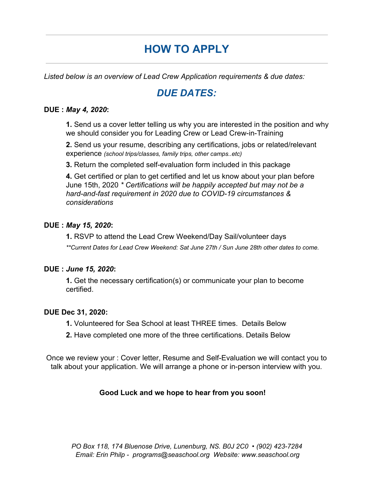# **HOW TO APPLY**

*Listed below is an overview of Lead Crew Application requirements & due dates:*

## *DUE DATES:*

#### **DUE :** *May 4, 2020***:**

**1.** Send us a cover letter telling us why you are interested in the position and why we should consider you for Leading Crew or Lead Crew-in-Training

**2.** Send us your resume, describing any certifications, jobs or related/relevant experience *(school trips/classes, family trips, other camps..etc)*

**3.** Return the completed self-evaluation form included in this package

**4.** Get certified or plan to get certified and let us know about your plan before June 15th, 2020 *\* Certifications will be happily accepted but may not be a hard-and-fast requirement in 2020 due to COVID-19 circumstances & considerations*

#### **DUE :** *May 15, 2020***:**

**1.** RSVP to attend the Lead Crew Weekend/Day Sail/volunteer days *\*\*Current Dates for Lead Crew Weekend: Sat June 27th / Sun June 28th other dates to come.*

#### **DUE :** *June 15, 2020***:**

**1.** Get the necessary certification(s) or communicate your plan to become certified.

#### **DUE Dec 31, 2020:**

- **1.** Volunteered for Sea School at least THREE times. Details Below
- **2.** Have completed one more of the three certifications. Details Below

Once we review your : Cover letter, Resume and Self-Evaluation we will contact you to talk about your application. We will arrange a phone or in-person interview with you.

#### **Good Luck and we hope to hear from you soon!**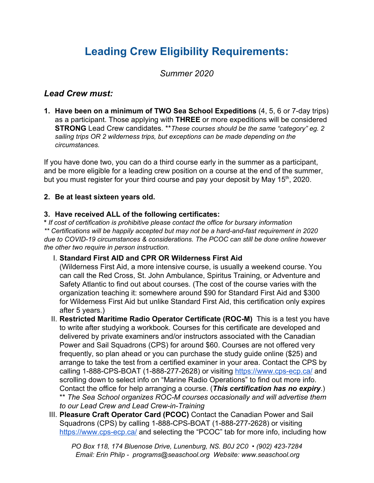# **Leading Crew Eligibility Requirements:**

*Summer 2020*

### *Lead Crew must:*

**1. Have been on a minimum of TWO Sea School Expeditions** (4, 5, 6 or 7-day trips) as a participant. Those applying with **THREE** or more expeditions will be considered **STRONG** Lead Crew candidates. \*\**These courses should be the same "category" eg. 2 sailing trips OR 2 wilderness trips, but exceptions can be made depending on the circumstances.*

If you have done two, you can do a third course early in the summer as a participant, and be more eligible for a leading crew position on a course at the end of the summer, but you must register for your third course and pay your deposit by May 15<sup>th</sup>, 2020.

#### **2. Be at least sixteen years old.**

#### **3. Have received ALL of the following certificates:**

**\*** *If cost of certification is prohibitive please contact the office for bursary information \*\* Certifications will be happily accepted but may not be a hard-and-fast requirement in 2020 due to COVID-19 circumstances & considerations. The PCOC can still be done online however the other two require in person instruction.*

#### I. **Standard First AID and CPR OR Wilderness First Aid**

(Wilderness First Aid, a more intensive course, is usually a weekend course. You can call the Red Cross, St. John Ambulance, Spiritus Training, or Adventure and Safety Atlantic to find out about courses. (The cost of the course varies with the organization teaching it: somewhere around \$90 for Standard First Aid and \$300 for Wilderness First Aid but unlike Standard First Aid, this certification only expires after 5 years.)

II. **Restricted Maritime Radio Operator Certificate (ROC-M)** This is a test you have to write after studying a workbook. Courses for this certificate are developed and delivered by private examiners and/or instructors associated with the Canadian Power and Sail Squadrons (CPS) for around \$60. Courses are not offered very frequently, so plan ahead or you can purchase the study guide online (\$25) and arrange to take the test from a certified examiner in your area. Contact the CPS by calling 1-888-CPS-BOAT (1-888-277-2628) or visiting <https://www.cps-ecp.ca/>and scrolling down to select info on "Marine Radio Operations" to find out more info. Contact the office for help arranging a course. (*This certification has no expiry*.) \*\* *The Sea School organizes ROC-M courses occasionally and will advertise them*

*to our Lead Crew and Lead Crew-in-Training*

III. **Pleasure Craft Operator Card (PCOC)** Contact the Canadian Power and Sail Squadrons (CPS) by calling 1-888-CPS-BOAT (1-888-277-2628) or visiting <https://www.cps-ecp.ca/> and selecting the "PCOC" tab for more info, including how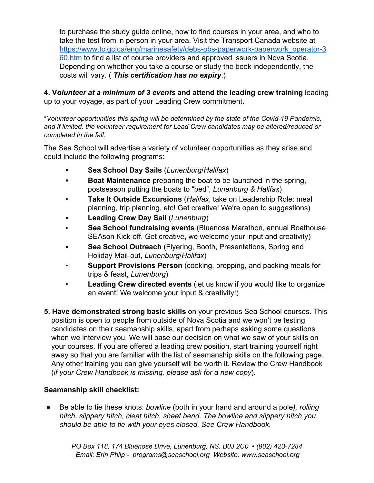to purchase the study guide online, how to find courses in your area, and who to take the test from in person in your area. Visit the Transport Canada website at [https://www.tc.gc.ca/eng/marinesafety/debs-obs-paperwork-paperwork\\_operator-3](https://www.tc.gc.ca/eng/marinesafety/debs-obs-paperwork-paperwork_operator-360.htm) [60.htm](https://www.tc.gc.ca/eng/marinesafety/debs-obs-paperwork-paperwork_operator-360.htm) to find a list of course providers and approved issuers in Nova Scotia. Depending on whether you take a course or study the book independently, the costs will vary. ( *This certification has no expiry*.)

**4. V***olunteer at a minimum of 3 events* **and attend the leading crew training** leading up to your voyage, as part of your Leading Crew commitment.

\**Volunteer opportunities this spring will be determined by the state of the Covid-19 Pandemic, and if limited, the volunteer requirement for Lead Crew candidates may be altered/reduced or completed in the fall.*

The Sea School will advertise a variety of volunteer opportunities as they arise and could include the following programs:

- **▪ Sea School Day Sails** (*Lunenburg*/*Halifax*)
- **▪ Boat Maintenance** preparing the boat to be launched in the spring, postseason putting the boats to "bed", *Lunenburg & Halifax*)
- **Take It Outside Excursions** (*Halifax*, take on Leadership Role: meal planning, trip planning, etc! Get creative! We're open to suggestions)
- **▪ Leading Crew Day Sail** (*Lunenburg*)
- **Sea School fundraising events (Bluenose Marathon, annual Boathouse** SEAson Kick-off. Get creative, we welcome your input and creativity)
- **▪ Sea School Outreach** (Flyering, Booth, Presentations, Spring and Holiday Mail-out, *Lunenburg*/*Halifax*)
- **Support Provisions Person** (cooking, prepping, and packing meals for trips & feast, *Lunenburg*)
- Leading Crew directed events (let us know if you would like to organize an event! We welcome your input & creativity!)
- **5. Have demonstrated strong basic skills** on your previous Sea School courses. This position is open to people from outside of Nova Scotia and we won't be testing candidates on their seamanship skills, apart from perhaps asking some questions when we interview you. We will base our decision on what we saw of your skills on your courses. If you are offered a leading crew position, start training yourself right away so that you are familiar with the list of seamanship skills on the following page. Any other training you can give yourself will be worth it. Review the Crew Handbook (*if your Crew Handbook is missing, please ask for a new copy*).

#### **Seamanship skill checklist:**

*●* Be able to tie these knots: *bowline* (both in your hand and around a pole*), rolling hitch, slippery hitch, cleat hitch, sheet bend. The bowline and slippery hitch you should be able to tie with your eyes closed. See Crew Handbook.*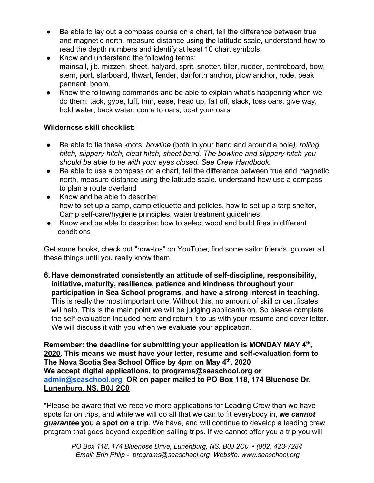- Be able to lay out a compass course on a chart, tell the difference between true and magnetic north, measure distance using the latitude scale, understand how to read the depth numbers and identify at least 10 chart symbols.
- Know and understand the following terms: mainsail, jib, mizzen, sheet, halyard, sprit, snotter, tiller, rudder, centreboard, bow, stern, port, starboard, thwart, fender, danforth anchor, plow anchor, rode, peak pennant, boom.
- Know the following commands and be able to explain what's happening when we do them: tack, gybe, luff, trim, ease, head up, fall off, slack, toss oars, give way, hold water, back water, come to oars, boat your oars.

#### **Wilderness skill checklist:**

- *●* Be able to tie these knots: *bowline* (both in your hand and around a pole*), rolling hitch, slippery hitch, cleat hitch, sheet bend. The bowline and slippery hitch you should be able to tie with your eyes closed. See Crew Handbook.*
- Be able to use a compass on a chart, tell the difference between true and magnetic north, measure distance using the latitude scale, understand how use a compass to plan a route overland
- Know and be able to describe: how to set up a camp, camp etiquette and policies, how to set up a tarp shelter, Camp self-care/hygiene principles, water treatment guidelines.
- Know and be able to describe: how to select wood and build fires in different conditions

Get some books, check out "how-tos" on YouTube, find some sailor friends, go over all these things until you really know them.

**6. Have demonstrated consistently an attitude of self-discipline, responsibility, initiative, maturity, resilience, patience and kindness throughout your participation in Sea School programs, and have a strong interest in teaching.** This is really the most important one. Without this, no amount of skill or certificates will help. This is the main point we will be judging applicants on. So please complete the self-evaluation included here and return it to us with your resume and cover letter. We will discuss it with you when we evaluate your application.

**Remember: the deadline for submitting your application is MONDAY MAY 4th , 2020. This means we must have your letter, resume and self-evaluation form to The Nova Scotia Sea School Office by 4pm on May 4th , 2020 We accept digital applications, to [programs@seaschool.org](mailto:programs@seaschool.org) or [admin@seaschool.org](mailto:admin@seaschool.org) OR on paper mailed to PO Box 118, 174 Bluenose Dr, Lunenburg, NS, B0J 2C0**

\*Please be aware that we receive more applications for Leading Crew than we have spots for on trips, and while we will do all that we can to fit everybody in, **we** *cannot guarantee* **you a spot on a trip**. We have, and will continue to develop a leading crew program that goes beyond expedition sailing trips. If we cannot offer you a trip you will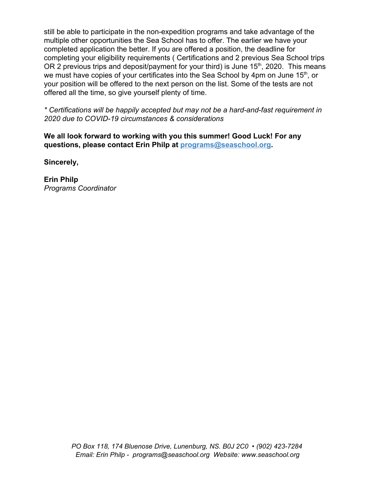still be able to participate in the non-expedition programs and take advantage of the multiple other opportunities the Sea School has to offer. The earlier we have your completed application the better. If you are offered a position, the deadline for completing your eligibility requirements ( Certifications and 2 previous Sea School trips OR 2 previous trips and deposit/payment for your third) is June  $15<sup>th</sup>$ , 2020. This means we must have copies of your certificates into the Sea School by 4pm on June 15<sup>th</sup>, or your position will be offered to the next person on the list. Some of the tests are not offered all the time, so give yourself plenty of time.

*\* Certifications will be happily accepted but may not be a hard-and-fast requirement in 2020 due to COVID-19 circumstances & considerations*

**We all look forward to working with you this summer! Good Luck! For any questions, please contact Erin Philp at programs@seaschool.org.**

**Sincerely,**

**Erin Philp** *Programs Coordinator*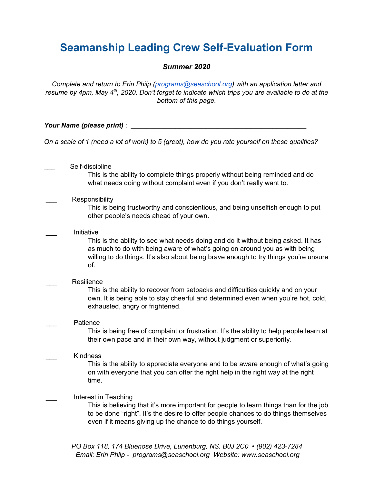## **Seamanship Leading Crew Self-Evaluation Form**

#### *Summer 2020*

*Complete and return to Erin Philp ([programs@seaschool.org](mailto:programs@seaschool.org)) with an application letter and* resume by 4pm, May 4<sup>th</sup>, 2020. Don't forget to indicate which trips you are available to do at the *bottom of this page.*

*Your Name (please print)* : \_\_\_\_\_\_\_\_\_\_\_\_\_\_\_\_\_\_\_\_\_\_\_\_\_\_\_\_\_\_\_\_\_\_\_\_\_\_\_\_\_\_\_\_\_\_\_

On a scale of 1 (need a lot of work) to 5 (great), how do you rate yourself on these qualities?

Self-discipline This is the ability to complete things properly without being reminded and do what needs doing without complaint even if you don't really want to.

Responsibility

This is being trustworthy and conscientious, and being unselfish enough to put other people's needs ahead of your own.

\_\_\_ Initiative

This is the ability to see what needs doing and do it without being asked. It has as much to do with being aware of what's going on around you as with being willing to do things. It's also about being brave enough to try things you're unsure of.

| Resilience                                                                                                                                                                                                |
|-----------------------------------------------------------------------------------------------------------------------------------------------------------------------------------------------------------|
| This is the ability to recover from setbacks and difficulties quickly and on your<br>own. It is being able to stay cheerful and determined even when you're hot, cold,<br>exhausted, angry or frightened. |
| Patience<br>This is being free of complaint or frustration. It's the ability to help people learn at<br>their own pace and in their own way, without judgment or superiority.                             |
| <b>Kindness</b><br>This is the ability to annreciate everyone and to be aware enough of what's going                                                                                                      |

This is the ability to appreciate everyone and to be aware enough of what's going on with everyone that you can offer the right help in the right way at the right time.

#### Interest in Teaching

This is believing that it's more important for people to learn things than for the job to be done "right". It's the desire to offer people chances to do things themselves even if it means giving up the chance to do things yourself.